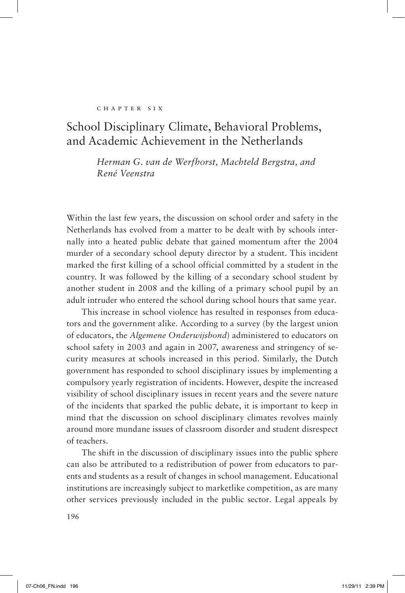#### c h a p t e r s i x

# School Disciplinary Climate, Behavioral Problems, and Academic Achievement in the Netherlands

*Herman G. van de Werfhorst, Machteld Bergstra, and René Veenstra*

Within the last few years, the discussion on school order and safety in the Netherlands has evolved from a matter to be dealt with by schools internally into a heated public debate that gained momentum after the 2004 murder of a secondary school deputy director by a student. This incident marked the first killing of a school official committed by a student in the country. It was followed by the killing of a secondary school student by another student in 2008 and the killing of a primary school pupil by an adult intruder who entered the school during school hours that same year.

This increase in school violence has resulted in responses from educators and the government alike. According to a survey (by the largest union of educators, the *Algemene Onderwijsbond*) administered to educators on school safety in 2003 and again in 2007, awareness and stringency of security measures at schools increased in this period. Similarly, the Dutch government has responded to school disciplinary issues by implementing a compulsory yearly registration of incidents. However, despite the increased visibility of school disciplinary issues in recent years and the severe nature of the incidents that sparked the public debate, it is important to keep in mind that the discussion on school disciplinary climates revolves mainly around more mundane issues of classroom disorder and student disrespect of teachers.

The shift in the discussion of disciplinary issues into the public sphere can also be attributed to a redistribution of power from educators to parents and students as a result of changes in school management. Educational institutions are increasingly subject to marketlike competition, as are many other services previously included in the public sector. Legal appeals by

196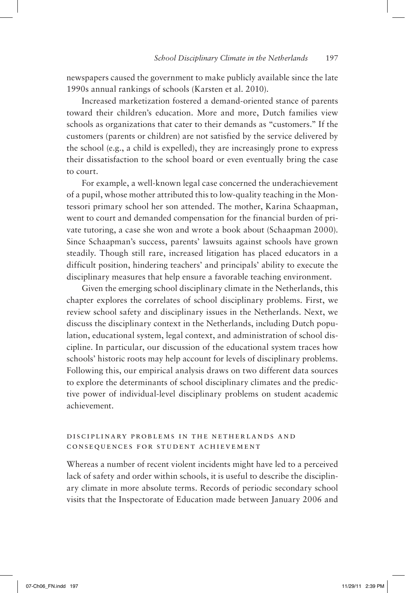newspapers caused the government to make publicly available since the late 1990s annual rankings of schools (Karsten et al. 2010).

Increased marketization fostered a demand-oriented stance of parents toward their children's education. More and more, Dutch families view schools as organizations that cater to their demands as "customers." If the customers (parents or children) are not satisfied by the service delivered by the school (e.g., a child is expelled), they are increasingly prone to express their dissatisfaction to the school board or even eventually bring the case to court.

For example, a well-known legal case concerned the underachievement of a pupil, whose mother attributed this to low-quality teaching in the Montessori primary school her son attended. The mother, Karina Schaapman, went to court and demanded compensation for the financial burden of private tutoring, a case she won and wrote a book about (Schaapman 2000). Since Schaapman's success, parents' lawsuits against schools have grown steadily. Though still rare, increased litigation has placed educators in a difficult position, hindering teachers' and principals' ability to execute the disciplinary measures that help ensure a favorable teaching environment.

Given the emerging school disciplinary climate in the Netherlands, this chapter explores the correlates of school disciplinary problems. First, we review school safety and disciplinary issues in the Netherlands. Next, we discuss the disciplinary context in the Netherlands, including Dutch population, educational system, legal context, and administration of school discipline. In particular, our discussion of the educational system traces how schools' historic roots may help account for levels of disciplinary problems. Following this, our empirical analysis draws on two different data sources to explore the determinants of school disciplinary climates and the predictive power of individual-level disciplinary problems on student academic achievement.

## DISCIPLINARY PROBLEMS IN THE NETHERLANDS AND CONSEQUENCES FOR STUDENT ACHIEVEMENT

Whereas a number of recent violent incidents might have led to a perceived lack of safety and order within schools, it is useful to describe the disciplinary climate in more absolute terms. Records of periodic secondary school visits that the Inspectorate of Education made between January 2006 and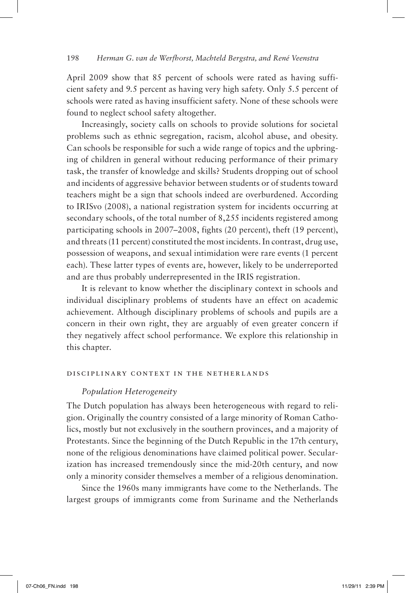April 2009 show that 85 percent of schools were rated as having sufficient safety and 9.5 percent as having very high safety. Only 5.5 percent of schools were rated as having insufficient safety. None of these schools were found to neglect school safety altogether.

Increasingly, society calls on schools to provide solutions for societal problems such as ethnic segregation, racism, alcohol abuse, and obesity. Can schools be responsible for such a wide range of topics and the upbringing of children in general without reducing performance of their primary task, the transfer of knowledge and skills? Students dropping out of school and incidents of aggressive behavior between students or of students toward teachers might be a sign that schools indeed are overburdened. According to IRISvo (2008), a national registration system for incidents occurring at secondary schools, of the total number of 8,255 incidents registered among participating schools in 2007–2008, fights (20 percent), theft (19 percent), and threats (11 percent) constituted the most incidents. In contrast, drug use, possession of weapons, and sexual intimidation were rare events (1 percent each). These latter types of events are, however, likely to be underreported and are thus probably underrepresented in the IRIS registration.

It is relevant to know whether the disciplinary context in schools and individual disciplinary problems of students have an effect on academic achievement. Although disciplinary problems of schools and pupils are a concern in their own right, they are arguably of even greater concern if they negatively affect school performance. We explore this relationship in this chapter.

#### DISCIPLINARY CONTEXT IN THE NETHERLANDS

#### *Population Heterogeneity*

The Dutch population has always been heterogeneous with regard to religion. Originally the country consisted of a large minority of Roman Catholics, mostly but not exclusively in the southern provinces, and a majority of Protestants. Since the beginning of the Dutch Republic in the 17th century, none of the religious denominations have claimed political power. Secularization has increased tremendously since the mid-20th century, and now only a minority consider themselves a member of a religious denomination.

Since the 1960s many immigrants have come to the Netherlands. The largest groups of immigrants come from Suriname and the Netherlands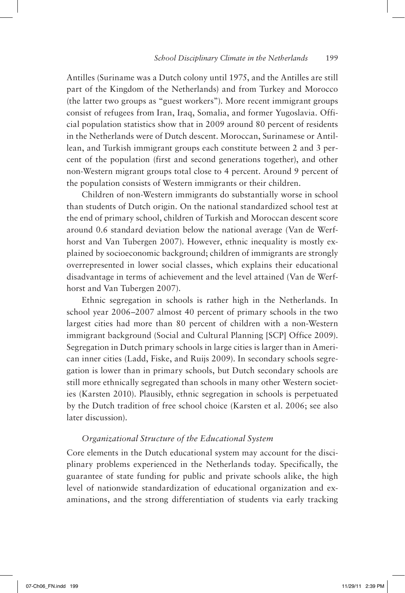Antilles (Suriname was a Dutch colony until 1975, and the Antilles are still part of the Kingdom of the Netherlands) and from Turkey and Morocco (the latter two groups as "guest workers"). More recent immigrant groups consist of refugees from Iran, Iraq, Somalia, and former Yugoslavia. Official population statistics show that in 2009 around 80 percent of residents in the Netherlands were of Dutch descent. Moroccan, Surinamese or Antillean, and Turkish immigrant groups each constitute between 2 and 3 percent of the population (first and second generations together), and other non-Western migrant groups total close to 4 percent. Around 9 percent of the population consists of Western immigrants or their children.

Children of non-Western immigrants do substantially worse in school than students of Dutch origin. On the national standardized school test at the end of primary school, children of Turkish and Moroccan descent score around 0.6 standard deviation below the national average (Van de Werfhorst and Van Tubergen 2007). However, ethnic inequality is mostly explained by socioeconomic background; children of immigrants are strongly overrepresented in lower social classes, which explains their educational disadvantage in terms of achievement and the level attained (Van de Werfhorst and Van Tubergen 2007).

Ethnic segregation in schools is rather high in the Netherlands. In school year 2006–2007 almost 40 percent of primary schools in the two largest cities had more than 80 percent of children with a non-Western immigrant background (Social and Cultural Planning [SCP] Office 2009). Segregation in Dutch primary schools in large cities is larger than in American inner cities (Ladd, Fiske, and Ruijs 2009). In secondary schools segregation is lower than in primary schools, but Dutch secondary schools are still more ethnically segregated than schools in many other Western societies (Karsten 2010). Plausibly, ethnic segregation in schools is perpetuated by the Dutch tradition of free school choice (Karsten et al. 2006; see also later discussion).

#### *Organizational Structure of the Educational System*

Core elements in the Dutch educational system may account for the disciplinary problems experienced in the Netherlands today. Specifically, the guarantee of state funding for public and private schools alike, the high level of nationwide standardization of educational organization and examinations, and the strong differentiation of students via early tracking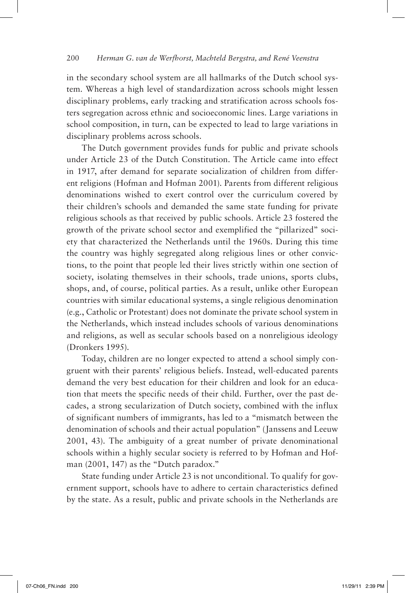in the secondary school system are all hallmarks of the Dutch school system. Whereas a high level of standardization across schools might lessen disciplinary problems, early tracking and stratification across schools fosters segregation across ethnic and socioeconomic lines. Large variations in school composition, in turn, can be expected to lead to large variations in disciplinary problems across schools.

The Dutch government provides funds for public and private schools under Article 23 of the Dutch Constitution. The Article came into effect in 1917, after demand for separate socialization of children from different religions (Hofman and Hofman 2001). Parents from different religious denominations wished to exert control over the curriculum covered by their children's schools and demanded the same state funding for private religious schools as that received by public schools. Article 23 fostered the growth of the private school sector and exemplified the "pillarized" society that characterized the Netherlands until the 1960s. During this time the country was highly segregated along religious lines or other convictions, to the point that people led their lives strictly within one section of society, isolating themselves in their schools, trade unions, sports clubs, shops, and, of course, political parties. As a result, unlike other European countries with similar educational systems, a single religious denomination (e.g., Catholic or Protestant) does not dominate the private school system in the Netherlands, which instead includes schools of various denominations and religions, as well as secular schools based on a nonreligious ideology (Dronkers 1995).

Today, children are no longer expected to attend a school simply congruent with their parents' religious beliefs. Instead, well-educated parents demand the very best education for their children and look for an education that meets the specific needs of their child. Further, over the past decades, a strong secularization of Dutch society, combined with the influx of significant numbers of immigrants, has led to a "mismatch between the denomination of schools and their actual population" (Janssens and Leeuw 2001, 43). The ambiguity of a great number of private denominational schools within a highly secular society is referred to by Hofman and Hofman (2001, 147) as the "Dutch paradox."

State funding under Article 23 is not unconditional. To qualify for government support, schools have to adhere to certain characteristics defined by the state. As a result, public and private schools in the Netherlands are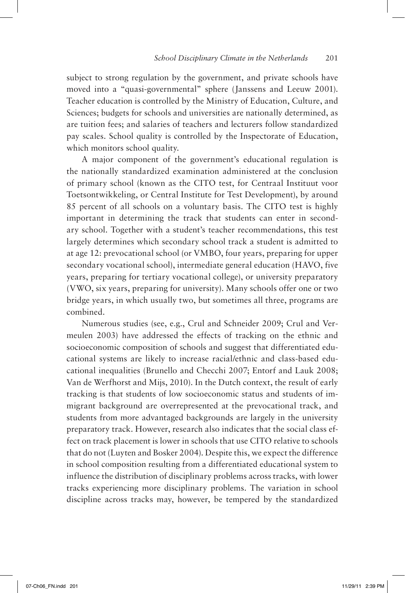subject to strong regulation by the government, and private schools have moved into a "quasi-governmental" sphere (Janssens and Leeuw 2001). Teacher education is controlled by the Ministry of Education, Culture, and Sciences; budgets for schools and universities are nationally determined, as are tuition fees; and salaries of teachers and lecturers follow standardized pay scales. School quality is controlled by the Inspectorate of Education, which monitors school quality.

A major component of the government's educational regulation is the nationally standardized examination administered at the conclusion of primary school (known as the CITO test, for Centraal Instituut voor Toetsontwikkeling, or Central Institute for Test Development), by around 85 percent of all schools on a voluntary basis. The CITO test is highly important in determining the track that students can enter in secondary school. Together with a student's teacher recommendations, this test largely determines which secondary school track a student is admitted to at age 12: prevocational school (or VMBO, four years, preparing for upper secondary vocational school), intermediate general education (HAVO, five years, preparing for tertiary vocational college), or university preparatory (VWO, six years, preparing for university). Many schools offer one or two bridge years, in which usually two, but sometimes all three, programs are combined.

Numerous studies (see, e.g., Crul and Schneider 2009; Crul and Vermeulen 2003) have addressed the effects of tracking on the ethnic and socioeconomic composition of schools and suggest that differentiated educational systems are likely to increase racial/ethnic and class-based educational inequalities (Brunello and Checchi 2007; Entorf and Lauk 2008; Van de Werfhorst and Mijs, 2010). In the Dutch context, the result of early tracking is that students of low socioeconomic status and students of immigrant background are overrepresented at the prevocational track, and students from more advantaged backgrounds are largely in the university preparatory track. However, research also indicates that the social class effect on track placement is lower in schools that use CITO relative to schools that do not (Luyten and Bosker 2004). Despite this, we expect the difference in school composition resulting from a differentiated educational system to influence the distribution of disciplinary problems across tracks, with lower tracks experiencing more disciplinary problems. The variation in school discipline across tracks may, however, be tempered by the standardized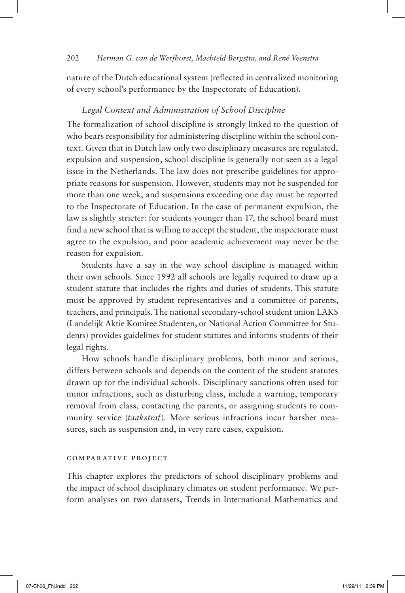nature of the Dutch educational system (reflected in centralized monitoring of every school's performance by the Inspectorate of Education).

#### *Legal Context and Administration of School Discipline*

The formalization of school discipline is strongly linked to the question of who bears responsibility for administering discipline within the school context. Given that in Dutch law only two disciplinary measures are regulated, expulsion and suspension, school discipline is generally not seen as a legal issue in the Netherlands. The law does not prescribe guidelines for appropriate reasons for suspension. However, students may not be suspended for more than one week, and suspensions exceeding one day must be reported to the Inspectorate of Education. In the case of permanent expulsion, the law is slightly stricter: for students younger than 17, the school board must find a new school that is willing to accept the student, the inspectorate must agree to the expulsion, and poor academic achievement may never be the reason for expulsion.

Students have a say in the way school discipline is managed within their own schools. Since 1992 all schools are legally required to draw up a student statute that includes the rights and duties of students. This statute must be approved by student representatives and a committee of parents, teachers, and principals. The national secondary-school student union LAKS (Landelijk Aktie Komitee Studenten, or National Action Committee for Students) provides guidelines for student statutes and informs students of their legal rights.

How schools handle disciplinary problems, both minor and serious, differs between schools and depends on the content of the student statutes drawn up for the individual schools. Disciplinary sanctions often used for minor infractions, such as disturbing class, include a warning, temporary removal from class, contacting the parents, or assigning students to community service (*taakstraf*). More serious infractions incur harsher measures, such as suspension and, in very rare cases, expulsion.

#### compa r ativ e project

This chapter explores the predictors of school disciplinary problems and the impact of school disciplinary climates on student performance. We perform analyses on two datasets, Trends in International Mathematics and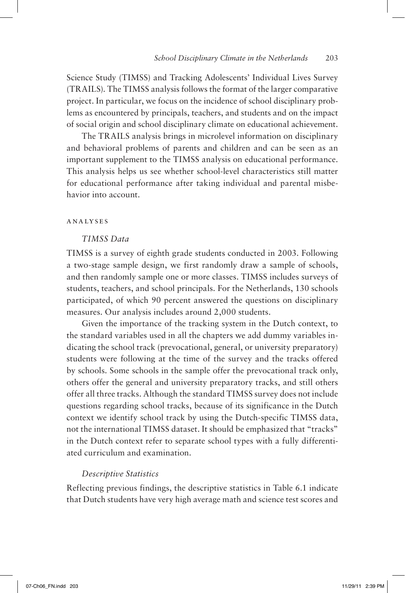Science Study (TIMSS) and Tracking Adolescents' Individual Lives Survey (TRAILS). The TIMSS analysis follows the format of the larger comparative project. In particular, we focus on the incidence of school disciplinary problems as encountered by principals, teachers, and students and on the impact of social origin and school disciplinary climate on educational achievement.

The TRAILS analysis brings in microlevel information on disciplinary and behavioral problems of parents and children and can be seen as an important supplement to the TIMSS analysis on educational performance. This analysis helps us see whether school-level characteristics still matter for educational performance after taking individual and parental misbehavior into account.

#### **ANALYSES**

#### *TIMSS Data*

TIMSS is a survey of eighth grade students conducted in 2003. Following a two-stage sample design, we first randomly draw a sample of schools, and then randomly sample one or more classes. TIMSS includes surveys of students, teachers, and school principals. For the Netherlands, 130 schools participated, of which 90 percent answered the questions on disciplinary measures. Our analysis includes around 2,000 students.

Given the importance of the tracking system in the Dutch context, to the standard variables used in all the chapters we add dummy variables indicating the school track (prevocational, general, or university preparatory) students were following at the time of the survey and the tracks offered by schools. Some schools in the sample offer the prevocational track only, others offer the general and university preparatory tracks, and still others offer all three tracks. Although the standard TIMSS survey does not include questions regarding school tracks, because of its significance in the Dutch context we identify school track by using the Dutch-specific TIMSS data, not the international TIMSS dataset. It should be emphasized that "tracks" in the Dutch context refer to separate school types with a fully differentiated curriculum and examination.

## *Descriptive Statistics*

Reflecting previous findings, the descriptive statistics in Table 6.1 indicate that Dutch students have very high average math and science test scores and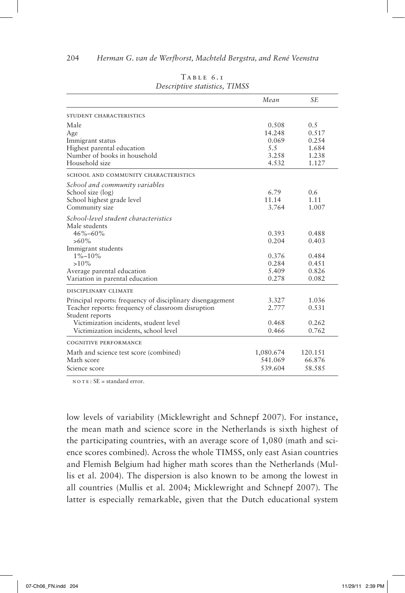|                                                            | Mean      | SE      |
|------------------------------------------------------------|-----------|---------|
| STUDENT CHARACTERISTICS                                    |           |         |
| Male                                                       | 0.508     | 0.5     |
| Age                                                        | 14.248    | 0.517   |
| Immigrant status                                           | 0.069     | 0.254   |
| Highest parental education                                 | 5.5       | 1.684   |
| Number of books in household                               | 3.258     | 1.238   |
| Household size                                             | 4.532     | 1.127   |
| SCHOOL AND COMMUNITY CHARACTERISTICS                       |           |         |
| School and community variables                             |           |         |
| School size (log)                                          | 6.79      | 0.6     |
| School highest grade level                                 | 11.14     | 1.11    |
| Community size                                             | 3.764     | 1.007   |
| School-level student characteristics                       |           |         |
| Male students                                              |           |         |
| 46%-60%                                                    | 0.393     | 0.488   |
| $>60\%$                                                    | 0.204     | 0.403   |
| Immigrant students                                         |           |         |
| $1\% - 10\%$                                               | 0.376     | 0.484   |
| $>10\%$                                                    | 0.284     | 0.451   |
| Average parental education                                 | 5.409     | 0.826   |
| Variation in parental education                            | 0.278     | 0.082   |
| DISCIPLINARY CLIMATE                                       |           |         |
| Principal reports: frequency of disciplinary disengagement | 3.327     | 1.036   |
| Teacher reports: frequency of classroom disruption         | 2.777     | 0.531   |
| Student reports                                            |           |         |
| Victimization incidents, student level                     | 0.468     | 0.262   |
| Victimization incidents, school level                      | 0.466     | 0.762   |
| <b>COGNITIVE PERFORMANCE</b>                               |           |         |
| Math and science test score (combined)                     | 1,080.674 | 120.151 |
| Math score                                                 | 541.069   | 66.876  |
| Science score                                              | 539.604   | 58.585  |

TABLE 6.1 *Descriptive statistics, TIMSS*

n o t e : SE = standard error.

low levels of variability (Micklewright and Schnepf 2007). For instance, the mean math and science score in the Netherlands is sixth highest of the participating countries, with an average score of 1,080 (math and science scores combined). Across the whole TIMSS, only east Asian countries and Flemish Belgium had higher math scores than the Netherlands (Mullis et al. 2004). The dispersion is also known to be among the lowest in all countries (Mullis et al. 2004; Micklewright and Schnepf 2007). The latter is especially remarkable, given that the Dutch educational system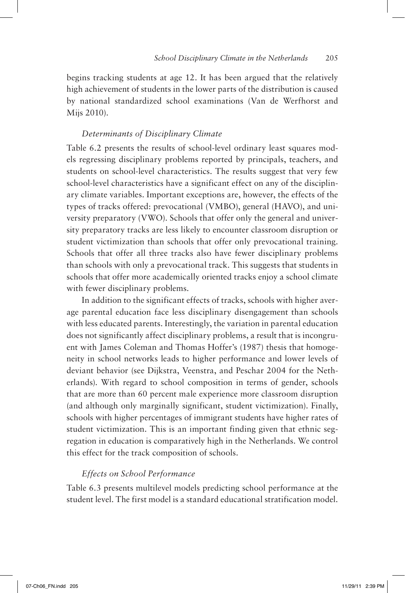begins tracking students at age 12. It has been argued that the relatively high achievement of students in the lower parts of the distribution is caused by national standardized school examinations (Van de Werfhorst and Mijs 2010).

## *Determinants of Disciplinary Climate*

Table 6.2 presents the results of school-level ordinary least squares models regressing disciplinary problems reported by principals, teachers, and students on school-level characteristics. The results suggest that very few school-level characteristics have a significant effect on any of the disciplinary climate variables. Important exceptions are, however, the effects of the types of tracks offered: prevocational (VMBO), general (HAVO), and university preparatory (VWO). Schools that offer only the general and university preparatory tracks are less likely to encounter classroom disruption or student victimization than schools that offer only prevocational training. Schools that offer all three tracks also have fewer disciplinary problems than schools with only a prevocational track. This suggests that students in schools that offer more academically oriented tracks enjoy a school climate with fewer disciplinary problems.

In addition to the significant effects of tracks, schools with higher average parental education face less disciplinary disengagement than schools with less educated parents. Interestingly, the variation in parental education does not significantly affect disciplinary problems, a result that is incongruent with James Coleman and Thomas Hoffer's (1987) thesis that homogeneity in school networks leads to higher performance and lower levels of deviant behavior (see Dijkstra, Veenstra, and Peschar 2004 for the Netherlands). With regard to school composition in terms of gender, schools that are more than 60 percent male experience more classroom disruption (and although only marginally significant, student victimization). Finally, schools with higher percentages of immigrant students have higher rates of student victimization. This is an important finding given that ethnic segregation in education is comparatively high in the Netherlands. We control this effect for the track composition of schools.

## *Effects on School Performance*

Table 6.3 presents multilevel models predicting school performance at the student level. The first model is a standard educational stratification model.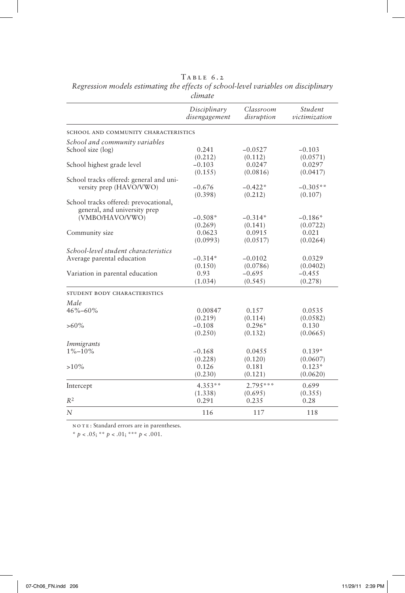| TABLE 6.2                                                                          |
|------------------------------------------------------------------------------------|
| Regression models estimating the effects of school-level variables on disciplinary |
| climate                                                                            |

|                                         | Disciplinary<br>disengagement | Classroom<br>disruption | <i>Student</i><br>victimization |
|-----------------------------------------|-------------------------------|-------------------------|---------------------------------|
| SCHOOL AND COMMUNITY CHARACTERISTICS    |                               |                         |                                 |
| School and community variables          |                               |                         |                                 |
| School size (log)                       | 0.241                         | $-0.0527$               | $-0.103$                        |
|                                         | (0.212)                       | (0.112)                 | (0.0571)                        |
| School highest grade level              | $-0.103$                      | 0.0247                  | 0.0297                          |
|                                         | (0.155)                       | (0.0816)                | (0.0417)                        |
| School tracks offered: general and uni- |                               |                         |                                 |
| versity prep (HAVO/VWO)                 | $-0.676$                      | $-0.422*$               | $-0.305**$                      |
|                                         | (0.398)                       | (0.212)                 | (0.107)                         |
| School tracks offered: prevocational,   |                               |                         |                                 |
| general, and university prep            |                               |                         |                                 |
| (VMBO/HAVO/VWO)                         | $-0.508*$                     | $-0.314*$               | $-0.186*$                       |
|                                         | (0.269)                       | (0.141)                 | (0.0722)                        |
| Community size                          | 0.0623                        | 0.0915                  | 0.021                           |
|                                         | (0.0993)                      | (0.0517)                | (0.0264)                        |
| School-level student characteristics    |                               |                         |                                 |
| Average parental education              | $-0.314*$                     | $-0.0102$               | 0.0329                          |
|                                         | (0.150)                       | (0.0786)                | (0.0402)                        |
| Variation in parental education         | 0.93                          | $-0.695$                | $-0.455$                        |
|                                         | (1.034)                       | (0.545)                 | (0.278)                         |
| STUDENT BODY CHARACTERISTICS            |                               |                         |                                 |
| Male                                    |                               |                         |                                 |
| $46\% - 60\%$                           | 0.00847                       | 0.157                   | 0.0535                          |
|                                         | (0.219)                       | (0.114)                 | (0.0582)                        |
| $>60\%$                                 | $-0.108$                      | $0.296*$                | 0.130                           |
|                                         | (0.250)                       | (0.132)                 | (0.0665)                        |
| <i>Immigrants</i>                       |                               |                         |                                 |
| $1\% - 10\%$                            | $-0.168$                      | 0.0455                  | $0.139*$                        |
|                                         | (0.228)                       | (0.120)                 | (0.0607)                        |
| $>10\%$                                 | 0.126                         | 0.181                   | $0.123*$                        |
|                                         | (0.230)                       | (0.121)                 | (0.0620)                        |
| Intercept                               | $4.353**$                     | $2.795***$              | 0.699                           |
|                                         | (1.338)                       | (0.695)                 | (0.355)                         |
| $R^2$                                   | 0.291                         | 0.235                   | 0.28                            |
| $\overline{N}$                          | 116                           | 117                     | 118                             |

 $N$  o  $T$   $\boldsymbol{\mathrm{E}}$  : Standard errors are in parentheses.

\* *p* < .05; \*\* *p* < .01; \*\*\* *p* < .001.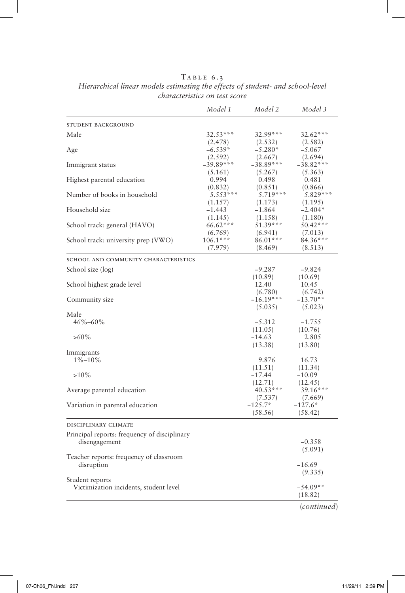|                                              | Model 1     | Model 2     | Model 3     |
|----------------------------------------------|-------------|-------------|-------------|
| STUDENT BACKGROUND                           |             |             |             |
| Male                                         | 32.53***    | 32.99***    | $32.62***$  |
|                                              | (2.478)     | (2.532)     | (2.582)     |
| Age                                          | $-6.539*$   | $-5.280*$   | $-5.067$    |
|                                              | (2.592)     | (2.667)     | (2.694)     |
| Immigrant status                             | $-39.89***$ | -38.89***   | $-38.82***$ |
|                                              | (5.161)     | (5.267)     | (5.363)     |
| Highest parental education                   | 0.994       | 0.498       | 0.481       |
|                                              | (0.832)     | (0.851)     | (0.866)     |
| Number of books in household                 | 5.553***    | 5.719***    | 5.829***    |
|                                              | (1.157)     | (1.173)     | (1.195)     |
| Household size                               | -1.443      | $-1.864$    | $-2.404*$   |
|                                              | (1.145)     | (1.158)     | (1.180)     |
| School track: general (HAVO)                 | 66.62***    | 51.39***    | $50.42***$  |
|                                              | (6.769)     | (6.941)     | (7.013)     |
| School track: university prep (VWO)          | $106.1***$  | 86.01***    | 84.36***    |
|                                              | (7.979)     | (8.469)     | (8.513)     |
| SCHOOL AND COMMUNITY CHARACTERISTICS         |             |             |             |
| School size (log)                            |             | $-9.287$    | $-9.824$    |
|                                              |             | (10.89)     | (10.69)     |
| School highest grade level                   |             | 12.40       | 10.45       |
|                                              |             | (6.780)     | (6.742)     |
|                                              |             | $-16.19***$ | $-13.70**$  |
| Community size                               |             | (5.035)     | (5.023)     |
| Male                                         |             |             |             |
| 46%-60%                                      |             | $-5.312$    | $-1.755$    |
|                                              |             | (11.05)     | (10.76)     |
| $>60\%$                                      |             | $-14.63$    | 2.805       |
|                                              |             | (13.38)     | (13.80)     |
| Immigrants                                   |             |             |             |
| $1\% - 10\%$                                 |             | 9.876       | 16.73       |
|                                              |             | (11.51)     | (11.34)     |
| $>10\%$                                      |             | $-17.44$    | $-10.09$    |
|                                              |             | (12.71)     | (12.45)     |
| Average parental education                   |             | $40.53***$  | 39.16***    |
|                                              |             | (7.537)     | (7.669)     |
| Variation in parental education              |             | $-125.7*$   | $-127.6*$   |
|                                              |             | (58.56)     | (58.42)     |
|                                              |             |             |             |
| DISCIPLINARY CLIMATE                         |             |             |             |
| Principal reports: frequency of disciplinary |             |             |             |
| disengagement                                |             |             | $-0.358$    |
|                                              |             |             | (5.091)     |
| Teacher reports: frequency of classroom      |             |             |             |
| disruption                                   |             |             | $-16.69$    |
|                                              |             |             | (9.335)     |
| Student reports                              |             |             |             |
| Victimization incidents, student level       |             |             | $-54.09**$  |
|                                              |             |             | (18.82)     |
|                                              |             |             | (continued) |

#### TABLE  $6.3$ *Hierarchical linear models estimating the effects of student- and school-level characteristics on test score*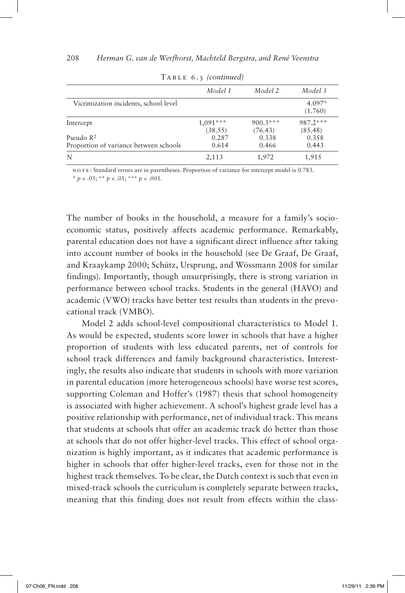|                                        | Model 1          | Model 2          | Model 3             |
|----------------------------------------|------------------|------------------|---------------------|
| Victimization incidents, school level  |                  |                  | $4.097*$<br>(1.760) |
| Intercept                              | $1,091***$       | $900.3***$       | 987.2***            |
| Pseudo $R^2$                           | (38.55)<br>0.287 | (76.43)<br>0.338 | (85.48)<br>0.358    |
| Proportion of variance between schools | 0.614            | 0.466            | 0.443               |
| N                                      | 2,113            | 1,972            | 1,915               |

TABLE 6.3 (continued)

n o t e : Standard errors are in parentheses. Proportion of variance for intercept model is 0.783.  $p^*$  *p* < .05; \*\* *p* < .01; \*\*\* *p* < .001.

The number of books in the household, a measure for a family's socioeconomic status, positively affects academic performance. Remarkably, parental education does not have a significant direct influence after taking into account number of books in the household (see De Graaf, De Graaf, and Kraaykamp 2000; Schütz, Ursprung, and Wössmann 2008 for similar findings). Importantly, though unsurprisingly, there is strong variation in performance between school tracks. Students in the general (HAVO) and academic (VWO) tracks have better test results than students in the prevocational track (VMBO).

Model 2 adds school-level compositional characteristics to Model 1. As would be expected, students score lower in schools that have a higher proportion of students with less educated parents, net of controls for school track differences and family background characteristics. Interestingly, the results also indicate that students in schools with more variation in parental education (more heterogeneous schools) have worse test scores, supporting Coleman and Hoffer's (1987) thesis that school homogeneity is associated with higher achievement. A school's highest grade level has a positive relationship with performance, net of individual track. This means that students at schools that offer an academic track do better than those at schools that do not offer higher-level tracks. This effect of school organization is highly important, as it indicates that academic performance is higher in schools that offer higher-level tracks, even for those not in the highest track themselves. To be clear, the Dutch context is such that even in mixed-track schools the curriculum is completely separate between tracks, meaning that this finding does not result from effects within the class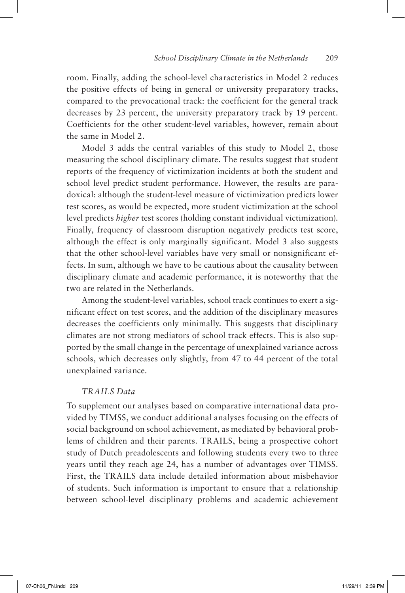room. Finally, adding the school-level characteristics in Model 2 reduces the positive effects of being in general or university preparatory tracks, compared to the prevocational track: the coefficient for the general track decreases by 23 percent, the university preparatory track by 19 percent. Coefficients for the other student-level variables, however, remain about the same in Model 2.

Model 3 adds the central variables of this study to Model 2, those measuring the school disciplinary climate. The results suggest that student reports of the frequency of victimization incidents at both the student and school level predict student performance. However, the results are paradoxical: although the student-level measure of victimization predicts lower test scores, as would be expected, more student victimization at the school level predicts *higher* test scores (holding constant individual victimization). Finally, frequency of classroom disruption negatively predicts test score, although the effect is only marginally significant. Model 3 also suggests that the other school-level variables have very small or nonsignificant effects. In sum, although we have to be cautious about the causality between disciplinary climate and academic performance, it is noteworthy that the two are related in the Netherlands.

Among the student-level variables, school track continues to exert a significant effect on test scores, and the addition of the disciplinary measures decreases the coefficients only minimally. This suggests that disciplinary climates are not strong mediators of school track effects. This is also supported by the small change in the percentage of unexplained variance across schools, which decreases only slightly, from 47 to 44 percent of the total unexplained variance.

## *TRAILS Data*

To supplement our analyses based on comparative international data provided by TIMSS, we conduct additional analyses focusing on the effects of social background on school achievement, as mediated by behavioral problems of children and their parents. TRAILS, being a prospective cohort study of Dutch preadolescents and following students every two to three years until they reach age 24, has a number of advantages over TIMSS. First, the TRAILS data include detailed information about misbehavior of students. Such information is important to ensure that a relationship between school-level disciplinary problems and academic achievement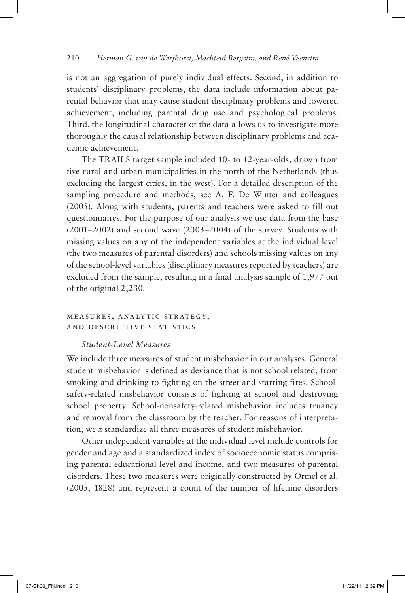is not an aggregation of purely individual effects. Second, in addition to students' disciplinary problems, the data include information about parental behavior that may cause student disciplinary problems and lowered achievement, including parental drug use and psychological problems. Third, the longitudinal character of the data allows us to investigate more thoroughly the causal relationship between disciplinary problems and academic achievement.

The TRAILS target sample included 10- to 12-year-olds, drawn from five rural and urban municipalities in the north of the Netherlands (thus excluding the largest cities, in the west). For a detailed description of the sampling procedure and methods, see A. F. De Winter and colleagues (2005). Along with students, parents and teachers were asked to fill out questionnaires. For the purpose of our analysis we use data from the base (2001–2002) and second wave (2003–2004) of the survey. Students with missing values on any of the independent variables at the individual level (the two measures of parental disorders) and schools missing values on any of the school-level variables (disciplinary measures reported by teachers) are excluded from the sample, resulting in a final analysis sample of 1,977 out of the original 2,230.

## MEASURES, ANALYTIC STRATEGY, AND DESCRIPTIVE STATISTICS

## *Student-Level Measures*

We include three measures of student misbehavior in our analyses. General student misbehavior is defined as deviance that is not school related, from smoking and drinking to fighting on the street and starting fires. Schoolsafety-related misbehavior consists of fighting at school and destroying school property. School-nonsafety-related misbehavior includes truancy and removal from the classroom by the teacher. For reasons of interpretation, we *z* standardize all three measures of student misbehavior.

Other independent variables at the individual level include controls for gender and age and a standardized index of socioeconomic status comprising parental educational level and income, and two measures of parental disorders. These two measures were originally constructed by Ormel et al. (2005, 1828) and represent a count of the number of lifetime disorders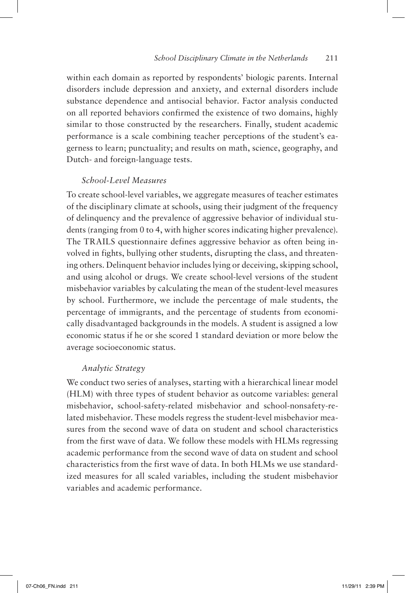within each domain as reported by respondents' biologic parents. Internal disorders include depression and anxiety, and external disorders include substance dependence and antisocial behavior. Factor analysis conducted on all reported behaviors confirmed the existence of two domains, highly similar to those constructed by the researchers. Finally, student academic performance is a scale combining teacher perceptions of the student's eagerness to learn; punctuality; and results on math, science, geography, and Dutch- and foreign-language tests.

# *School-Level Measures*

To create school-level variables, we aggregate measures of teacher estimates of the disciplinary climate at schools, using their judgment of the frequency of delinquency and the prevalence of aggressive behavior of individual students (ranging from 0 to 4, with higher scores indicating higher prevalence). The TRAILS questionnaire defines aggressive behavior as often being involved in fights, bullying other students, disrupting the class, and threatening others. Delinquent behavior includes lying or deceiving, skipping school, and using alcohol or drugs. We create school-level versions of the student misbehavior variables by calculating the mean of the student-level measures by school. Furthermore, we include the percentage of male students, the percentage of immigrants, and the percentage of students from economically disadvantaged backgrounds in the models. A student is assigned a low economic status if he or she scored 1 standard deviation or more below the average socioeconomic status.

## *Analytic Strategy*

We conduct two series of analyses, starting with a hierarchical linear model (HLM) with three types of student behavior as outcome variables: general misbehavior, school-safety-related misbehavior and school-nonsafety-related misbehavior. These models regress the student-level misbehavior measures from the second wave of data on student and school characteristics from the first wave of data. We follow these models with HLMs regressing academic performance from the second wave of data on student and school characteristics from the first wave of data. In both HLMs we use standardized measures for all scaled variables, including the student misbehavior variables and academic performance.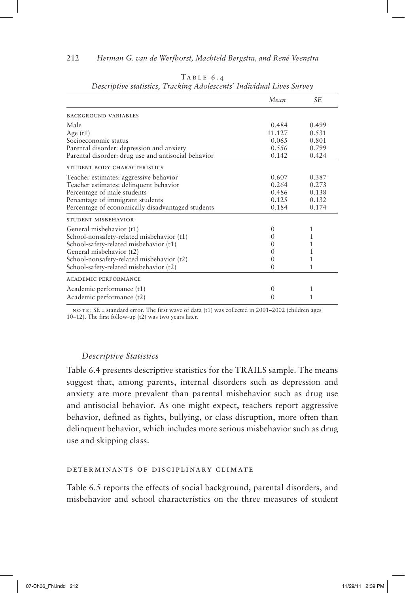|                                                     | Mean     | SЕ    |
|-----------------------------------------------------|----------|-------|
| <b>BACKGROUND VARIABLES</b>                         |          |       |
| Male                                                | 0.484    | 0.499 |
| Age $(t1)$                                          | 11.127   | 0.531 |
| Socioeconomic status                                | 0.065    | 0.801 |
| Parental disorder: depression and anxiety           | 0.556    | 0.799 |
| Parental disorder: drug use and antisocial behavior | 0.142    | 0.424 |
| STUDENT BODY CHARACTERISTICS                        |          |       |
| Teacher estimates: aggressive behavior              | 0.607    | 0.387 |
| Teacher estimates: delinquent behavior              | 0.264    | 0.273 |
| Percentage of male students                         | 0.486    | 0.138 |
| Percentage of immigrant students                    | 0.125    | 0.132 |
| Percentage of economically disadvantaged students   | 0.184    | 0.174 |
| <b>STUDENT MISBEHAVIOR</b>                          |          |       |
| General misbehavior (t1)                            | $\Omega$ | 1     |
| School-nonsafety-related misbehavior (t1)           | $\Omega$ | 1     |
| School-safety-related misbehavior (t1)              | $\Omega$ | 1     |
| General misbehavior (t2)                            | $\Omega$ | 1     |
| School-nonsafety-related misbehavior (t2)           | $\theta$ | 1     |
| School-safety-related misbehavior (t2)              | $\theta$ | 1     |
| <b>ACADEMIC PERFORMANCE</b>                         |          |       |
| Academic performance (t1)                           | $\Omega$ | 1     |
| Academic performance (t2)                           | 0        | 1     |
|                                                     |          |       |

|                                                                       | TABLE 6.4 |  |  |
|-----------------------------------------------------------------------|-----------|--|--|
| Descriptive statistics, Tracking Adolescents' Individual Lives Survey |           |  |  |

n o t e : SE = standard error. The first wave of data (t1) was collected in 2001–2002 (children ages 10–12). The first follow-up (t2) was two years later.

## *Descriptive Statistics*

Table 6.4 presents descriptive statistics for the TRAILS sample. The means suggest that, among parents, internal disorders such as depression and anxiety are more prevalent than parental misbehavior such as drug use and antisocial behavior. As one might expect, teachers report aggressive behavior, defined as fights, bullying, or class disruption, more often than delinquent behavior, which includes more serious misbehavior such as drug use and skipping class.

## DETERMINANTS OF DISCIPLINARY CLIMATE

Table 6.5 reports the effects of social background, parental disorders, and misbehavior and school characteristics on the three measures of student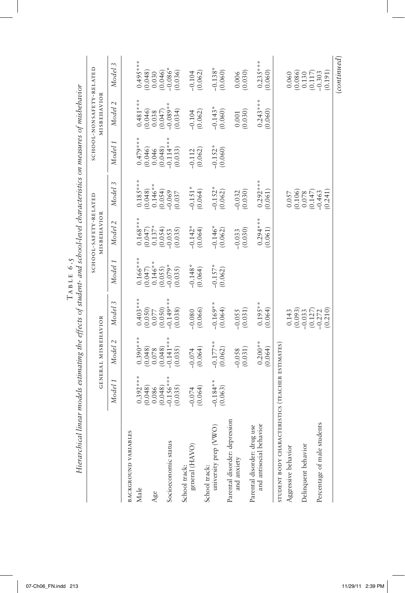| Hierarchical linear models estimating the effects of student- and school-level characteristics on measures of misbehavior |                              |                                       |                                                                    |                        |                                                                                         |                                                                                    |                                                                                    |                                             |                                                                                       |
|---------------------------------------------------------------------------------------------------------------------------|------------------------------|---------------------------------------|--------------------------------------------------------------------|------------------------|-----------------------------------------------------------------------------------------|------------------------------------------------------------------------------------|------------------------------------------------------------------------------------|---------------------------------------------|---------------------------------------------------------------------------------------|
|                                                                                                                           |                              | GENERAL MISBEHAVIOR                   |                                                                    |                        | SCHOOL-SAFETY-RELATED<br>MISBEHAVIOR                                                    |                                                                                    |                                                                                    | SCHOOL-NONSAFETY-RELATED<br>MISBEHAVIOR     |                                                                                       |
|                                                                                                                           | Model 1                      | Model 2                               | Model 3                                                            | Model 1                | Model 2                                                                                 | Model 3                                                                            | Model 1                                                                            | Model 2                                     | Model 3                                                                               |
| BACKGROUND VARIABLES                                                                                                      |                              |                                       |                                                                    |                        |                                                                                         |                                                                                    |                                                                                    |                                             |                                                                                       |
| Male                                                                                                                      | $0.392***$                   | $0.390***$                            | $0.403***$                                                         | $0.166***$             | $0.168***$                                                                              | $0.185***$                                                                         | $0.479***$                                                                         | $0.481***$                                  | $0.495***$                                                                            |
|                                                                                                                           | (0.048)                      | $(0.048)$<br>0.078<br>0.048)<br>0.048 | (0.050)                                                            | $^{(0.047)}_{0.146**}$ |                                                                                         |                                                                                    |                                                                                    |                                             |                                                                                       |
| Age                                                                                                                       | 0.086                        |                                       | $\begin{array}{c} 0.077 \\ (0.050) \\ -0.149*** \end{array}$       |                        |                                                                                         |                                                                                    |                                                                                    | $(0.046)$<br>0.038<br>$(0.047)$<br>-0.089** |                                                                                       |
|                                                                                                                           | $(0.048)$<br>-0.156***       |                                       |                                                                    | $(0.055)$<br>-0.079*   |                                                                                         |                                                                                    |                                                                                    |                                             |                                                                                       |
| Socioeconomic status                                                                                                      | (0.035)                      | (0.035)                               | (0.038)                                                            | (0.035)                | $\begin{array}{c} (0.047) \\ 0.137^{*} \\ 0.054) \\ -0.053 \\ \hline 0.033 \end{array}$ | $\begin{array}{c} (0.048) \\ (0.146** \\ (0.054) \\ (0.054) \\ -0.069 \end{array}$ | $\begin{array}{c} (0.046) \\ 0.046 \\ (0.048) \\ (0.048) \\ -0.114*** \end{array}$ | (0.034)                                     | $\begin{array}{l} (0.048) \\ 0.030 \\ 0.046) \\ -0.086^* \\ \hline 0.036 \end{array}$ |
| School track:                                                                                                             |                              |                                       |                                                                    |                        |                                                                                         |                                                                                    |                                                                                    |                                             |                                                                                       |
| general (HAVO)                                                                                                            | $-0.074$                     |                                       |                                                                    |                        |                                                                                         |                                                                                    |                                                                                    |                                             |                                                                                       |
|                                                                                                                           | (0.064)                      | $-0.074$<br>(0.064)                   | $-0.080$<br>(0.066)                                                | $-0.148*$<br>(0.064)   | $-0.142*$<br>(0.064)                                                                    | $-0.151*$<br>(0.064)                                                               | $-0.112$<br>(0.062)                                                                | $-0.104$<br>(0.062)                         | $-0.104$<br>(0.062)                                                                   |
| School track:                                                                                                             |                              |                                       |                                                                    |                        |                                                                                         |                                                                                    |                                                                                    |                                             |                                                                                       |
| university prep (VW                                                                                                       | $-0.184**$                   | $-0.177**$                            | $-0.169**$                                                         | $-0.157*$<br>(0.062)   | $-0.146$ *<br>(0.062)                                                                   | $-0.152$ * $(0.062)$                                                               | $-0.152*$                                                                          | $-0.143*$<br>(0.060)                        | $-0.138*$<br>(0.060)                                                                  |
|                                                                                                                           | (0.063)                      | (0.062)                               | (0.064)                                                            |                        |                                                                                         |                                                                                    |                                                                                    |                                             |                                                                                       |
| Parental disorder: depression                                                                                             |                              |                                       |                                                                    |                        |                                                                                         |                                                                                    |                                                                                    |                                             |                                                                                       |
| and anxiety                                                                                                               |                              | $-0.058$                              | $-0.055$                                                           |                        | $-0.033$                                                                                | $-0.032$<br>(0.030)                                                                |                                                                                    | 0.001                                       | $\begin{array}{c} 0.006 \\ (0.030) \end{array}$                                       |
|                                                                                                                           |                              | (0.031)                               | (0.031)                                                            |                        | (0.030)                                                                                 |                                                                                    |                                                                                    | (0.030)                                     |                                                                                       |
| Parental disorder: drug use                                                                                               |                              |                                       |                                                                    |                        |                                                                                         |                                                                                    |                                                                                    |                                             |                                                                                       |
| and antisocial behavior                                                                                                   |                              | $0.200**$                             | $0.195***$                                                         |                        | $0.294***$                                                                              | $0.292***$                                                                         |                                                                                    | $0.243***$                                  | $0.235***$                                                                            |
|                                                                                                                           |                              | (0.064)                               | (0.064)                                                            |                        | (0.061)                                                                                 | (0.061)                                                                            |                                                                                    | (0.060)                                     | (0.060)                                                                               |
| STUDENT BODY CHARACTI                                                                                                     | ERISTICS (TEACHER ESTIMATES) |                                       |                                                                    |                        |                                                                                         |                                                                                    |                                                                                    |                                             |                                                                                       |
| Aggressive behavior                                                                                                       |                              |                                       |                                                                    |                        |                                                                                         |                                                                                    |                                                                                    |                                             | 0.060                                                                                 |
|                                                                                                                           |                              |                                       | $\begin{array}{c} 0.143 \\ 0.093) \\ -0.033 \\ 0.127) \end{array}$ |                        |                                                                                         | $\begin{array}{c} 0.057 \\ 0.106) \\ 0.078 \end{array}$                            |                                                                                    |                                             | $\begin{array}{c} (0.086) \\ 0.130 \end{array}$                                       |
| Delinquent behavior                                                                                                       |                              |                                       |                                                                    |                        |                                                                                         |                                                                                    |                                                                                    |                                             |                                                                                       |
|                                                                                                                           |                              |                                       |                                                                    |                        |                                                                                         | (0.147)                                                                            |                                                                                    |                                             | (0.117)                                                                               |
| Percentage of male students                                                                                               |                              |                                       | $-0.272$                                                           |                        |                                                                                         | $-0.463$                                                                           |                                                                                    |                                             | $-0.303$                                                                              |
|                                                                                                                           |                              |                                       | (0.210)                                                            |                        |                                                                                         | (0.241)                                                                            |                                                                                    |                                             | (0.191)                                                                               |
|                                                                                                                           |                              |                                       |                                                                    |                        |                                                                                         |                                                                                    |                                                                                    |                                             | $_{(continued)}$                                                                      |

TABLE  $6.5$ TABLE 6.5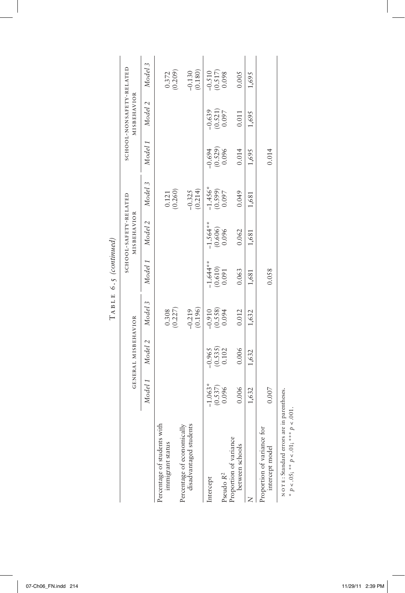|                                                                                             |                    |                                  |                                  | TABLE $6.5$ (continued)             |                                                 |                               |                      |                                         |                          |
|---------------------------------------------------------------------------------------------|--------------------|----------------------------------|----------------------------------|-------------------------------------|-------------------------------------------------|-------------------------------|----------------------|-----------------------------------------|--------------------------|
|                                                                                             |                    | GENERAL MISBEHAVIOR              |                                  |                                     | SCHOOL-SAFETY-RELATED<br>MISBEHAVIOR            |                               |                      | SCHOOL-NONSAFETY-RELATED<br>MISBEHAVIOR |                          |
|                                                                                             | Model 1            | Model 2                          | Model 3                          | Model 1                             | Model 2                                         | $Model\,3$                    | Model 1              | Model 2                                 | Model 3                  |
| Percentage of students with<br>immigrant status                                             |                    |                                  | $\frac{0.308}{(0.227)}$          |                                     |                                                 | (0.260)<br>0.121              |                      |                                         | $0.372$<br>(0.209)       |
| disadvantaged students<br>Percentage of economically                                        |                    |                                  | (0.196)<br>$-0.219$              |                                     |                                                 | (0.214)<br>$-0.325$           |                      |                                         | (0.180)<br>$-0.130$      |
| Intercept                                                                                   | $-1.063*$          |                                  |                                  |                                     | $-1.564**$                                      |                               | $-0.694$             | $-0.639$                                |                          |
| Pseudo R <sup>2</sup>                                                                       | $(0.537)$<br>0.096 | $-0.965$<br>$(0.535)$<br>$0.102$ | $-0.910$<br>$(0.558)$<br>$0.094$ | $\frac{-1.644**}{(0.610)}$<br>0.091 | $\begin{array}{c} (0.606) \\ 0.096 \end{array}$ | $-1.456*$<br>(0.599)<br>0.097 | $(0.529)$<br>$0.096$ | $\frac{(0.521)}{0.097}$                 | $\frac{-0.510}{(0.517)}$ |
| Proportion of variance<br>between schools                                                   | 0.006              | 0.006                            | 0.012                            | 0.063                               | 0.062                                           | 0.049                         | 0.014                | 0.011                                   | 0.005                    |
| z                                                                                           | 1,632              | 1,632                            | 1,632                            | 1,681                               | 1,681                                           | 1,681                         | 1,695                | 1,695                                   | 1,695                    |
| ੋਂ<br>Proportion of variance f<br>intercept model                                           | 0.007              |                                  |                                  | 0.058                               |                                                 |                               | 0.014                |                                         |                          |
| NOTE: Standard errors are in parentheses.<br>p < .001<br>* $p < 0.05$ ; ** $p < 0.01$ ; *** |                    |                                  |                                  |                                     |                                                 |                               |                      |                                         |                          |

07-Ch06\_FN.indd 214 11/29/11 2:39 PM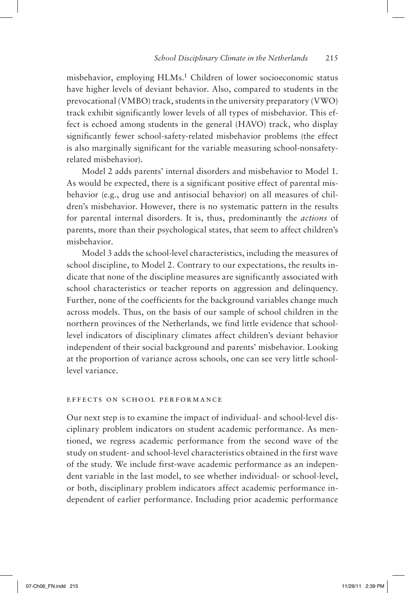misbehavior, employing HLMs.<sup>1</sup> Children of lower socioeconomic status have higher levels of deviant behavior. Also, compared to students in the prevocational (VMBO) track, students in the university preparatory (VWO) track exhibit significantly lower levels of all types of misbehavior. This effect is echoed among students in the general (HAVO) track, who display significantly fewer school-safety-related misbehavior problems (the effect is also marginally significant for the variable measuring school-nonsafetyrelated misbehavior).

Model 2 adds parents' internal disorders and misbehavior to Model 1. As would be expected, there is a significant positive effect of parental misbehavior (e.g., drug use and antisocial behavior) on all measures of children's misbehavior. However, there is no systematic pattern in the results for parental internal disorders. It is, thus, predominantly the *actions* of parents, more than their psychological states, that seem to affect children's misbehavior.

Model 3 adds the school-level characteristics, including the measures of school discipline, to Model 2. Contrary to our expectations, the results indicate that none of the discipline measures are significantly associated with school characteristics or teacher reports on aggression and delinquency. Further, none of the coefficients for the background variables change much across models. Thus, on the basis of our sample of school children in the northern provinces of the Netherlands, we find little evidence that schoollevel indicators of disciplinary climates affect children's deviant behavior independent of their social background and parents' misbehavior. Looking at the proportion of variance across schools, one can see very little schoollevel variance.

## effects on school perfor m a nce

Our next step is to examine the impact of individual- and school-level disciplinary problem indicators on student academic performance. As mentioned, we regress academic performance from the second wave of the study on student- and school-level characteristics obtained in the first wave of the study. We include first-wave academic performance as an independent variable in the last model, to see whether individual- or school-level, or both, disciplinary problem indicators affect academic performance independent of earlier performance. Including prior academic performance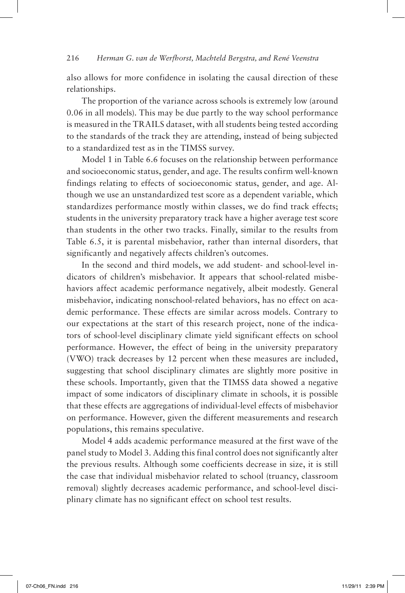also allows for more confidence in isolating the causal direction of these relationships.

The proportion of the variance across schools is extremely low (around 0.06 in all models). This may be due partly to the way school performance is measured in the TRAILS dataset, with all students being tested according to the standards of the track they are attending, instead of being subjected to a standardized test as in the TIMSS survey.

Model 1 in Table 6.6 focuses on the relationship between performance and socioeconomic status, gender, and age. The results confirm well-known findings relating to effects of socioeconomic status, gender, and age. Although we use an unstandardized test score as a dependent variable, which standardizes performance mostly within classes, we do find track effects; students in the university preparatory track have a higher average test score than students in the other two tracks. Finally, similar to the results from Table 6.5, it is parental misbehavior, rather than internal disorders, that significantly and negatively affects children's outcomes.

In the second and third models, we add student- and school-level indicators of children's misbehavior. It appears that school-related misbehaviors affect academic performance negatively, albeit modestly. General misbehavior, indicating nonschool-related behaviors, has no effect on academic performance. These effects are similar across models. Contrary to our expectations at the start of this research project, none of the indicators of school-level disciplinary climate yield significant effects on school performance. However, the effect of being in the university preparatory (VWO) track decreases by 12 percent when these measures are included, suggesting that school disciplinary climates are slightly more positive in these schools. Importantly, given that the TIMSS data showed a negative impact of some indicators of disciplinary climate in schools, it is possible that these effects are aggregations of individual-level effects of misbehavior on performance. However, given the different measurements and research populations, this remains speculative.

Model 4 adds academic performance measured at the first wave of the panel study to Model 3. Adding this final control does not significantly alter the previous results. Although some coefficients decrease in size, it is still the case that individual misbehavior related to school (truancy, classroom removal) slightly decreases academic performance, and school-level disciplinary climate has no significant effect on school test results.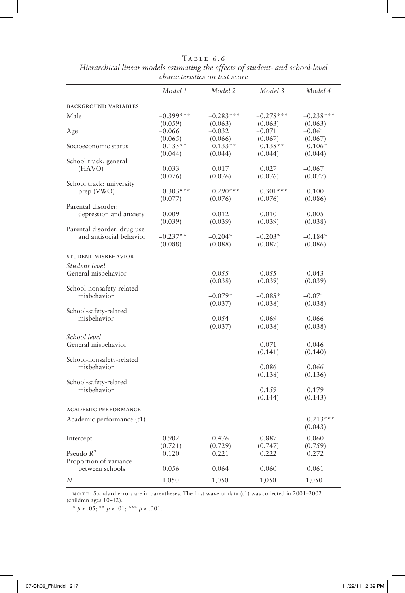|                             | Model 1                | Model 2                | Model 3                | Model 4                |
|-----------------------------|------------------------|------------------------|------------------------|------------------------|
| <b>BACKGROUND VARIABLES</b> |                        |                        |                        |                        |
| Male                        | $-0.399***$<br>(0.059) | $-0.283***$<br>(0.063) | $-0.278***$<br>(0.063) | $-0.238***$<br>(0.063) |
| Age                         | -0.066<br>(0.065)      | $-0.032$<br>(0.066)    | $-0.071$<br>(0.067)    | $-0.061$<br>(0.067)    |
| Socioeconomic status        | $0.135**$<br>(0.044)   | $0.133**$<br>(0.044)   | $0.138**$<br>(0.044)   | $0.106*$<br>(0.044)    |
| School track: general       |                        |                        |                        |                        |
| (HAVO)                      | 0.033                  | 0.017                  | 0.027                  | $-0.067$               |
|                             | (0.076)                | (0.076)                | (0.076)                | (0.077)                |
| School track: university    |                        |                        |                        |                        |
|                             | $0.303***$             | $0.290***$             |                        |                        |
| prep (VWO)                  |                        |                        | $0.301***$             | 0.100                  |
|                             | (0.077)                | (0.076)                | (0.076)                | (0.086)                |
| Parental disorder:          |                        |                        |                        |                        |
| depression and anxiety      | 0.009                  | 0.012                  | 0.010                  | 0.005                  |
|                             | (0.039)                | (0.039)                | (0.039)                | (0.038)                |
| Parental disorder: drug use |                        |                        |                        |                        |
| and antisocial behavior     | $-0.237**$             | $-0.204*$              | $-0.203*$              | $-0.184*$              |
|                             | (0.088)                | (0.088)                | (0.087)                | (0.086)                |
|                             |                        |                        |                        |                        |
| STUDENT MISBEHAVIOR         |                        |                        |                        |                        |
| Student level               |                        |                        |                        |                        |
| General misbehavior         |                        | $-0.055$               | $-0.055$               | $-0.043$               |
|                             |                        | (0.038)                | (0.039)                | (0.039)                |
| School-nonsafety-related    |                        |                        |                        |                        |
| misbehavior                 |                        | $-0.079*$              | $-0.085*$              | $-0.071$               |
|                             |                        | (0.037)                | (0.038)                | (0.038)                |
| School-safety-related       |                        |                        |                        |                        |
| misbehavior                 |                        |                        |                        |                        |
|                             |                        | $-0.054$               | $-0.069$               | $-0.066$               |
|                             |                        | (0.037)                | (0.038)                | (0.038)                |
| School level                |                        |                        |                        |                        |
| General misbehavior         |                        |                        | 0.071                  | 0.046                  |
|                             |                        |                        | (0.141)                | (0.140)                |
| School-nonsafety-related    |                        |                        |                        |                        |
| mishehavior                 |                        |                        | 0.086                  | 0.066                  |
|                             |                        |                        | (0.138)                | (0.136)                |
| School-safety-related       |                        |                        |                        |                        |
| misbehavior                 |                        |                        | 0.159                  | 0.179                  |
|                             |                        |                        |                        |                        |
|                             |                        |                        | (0.144)                | (0.143)                |
| <b>ACADEMIC PERFORMANCE</b> |                        |                        |                        |                        |
| Academic performance (t1)   |                        |                        |                        | $0.213***$             |
|                             |                        |                        |                        | (0.043)                |
|                             |                        |                        |                        |                        |
| Intercept                   | 0.902                  | 0.476                  | 0.887                  | 0.060                  |
|                             | (0.721)                | (0.729)                | (0.747)                | (0.759)                |
| Pseudo $R^2$                | 0.120                  | 0.221                  | 0.222                  | 0.272                  |
| Proportion of variance      |                        |                        |                        |                        |
| between schools             | 0.056                  | 0.064                  | 0.060                  | 0.061                  |
| N                           | 1,050                  | 1,050                  | 1,050                  | 1,050                  |

TABLE 6.6 *Hierarchical linear models estimating the effects of student- and school-level characteristics on test score*

n o t e : Standard errors are in parentheses. The first wave of data (t1) was collected in 2001–2002 (children ages 10–12).

\* *p* < .05; \*\* *p* < .01; \*\*\* *p* < .001.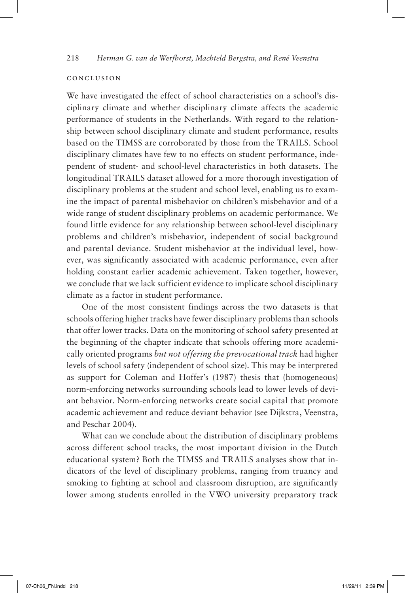### conclusion

We have investigated the effect of school characteristics on a school's disciplinary climate and whether disciplinary climate affects the academic performance of students in the Netherlands. With regard to the relationship between school disciplinary climate and student performance, results based on the TIMSS are corroborated by those from the TRAILS. School disciplinary climates have few to no effects on student performance, independent of student- and school-level characteristics in both datasets. The longitudinal TRAILS dataset allowed for a more thorough investigation of disciplinary problems at the student and school level, enabling us to examine the impact of parental misbehavior on children's misbehavior and of a wide range of student disciplinary problems on academic performance. We found little evidence for any relationship between school-level disciplinary problems and children's misbehavior, independent of social background and parental deviance. Student misbehavior at the individual level, however, was significantly associated with academic performance, even after holding constant earlier academic achievement. Taken together, however, we conclude that we lack sufficient evidence to implicate school disciplinary climate as a factor in student performance.

One of the most consistent findings across the two datasets is that schools offering higher tracks have fewer disciplinary problems than schools that offer lower tracks. Data on the monitoring of school safety presented at the beginning of the chapter indicate that schools offering more academically oriented programs *but not offering the prevocational track* had higher levels of school safety (independent of school size). This may be interpreted as support for Coleman and Hoffer's (1987) thesis that (homogeneous) norm-enforcing networks surrounding schools lead to lower levels of deviant behavior. Norm-enforcing networks create social capital that promote academic achievement and reduce deviant behavior (see Dijkstra, Veenstra, and Peschar 2004).

What can we conclude about the distribution of disciplinary problems across different school tracks, the most important division in the Dutch educational system? Both the TIMSS and TRAILS analyses show that indicators of the level of disciplinary problems, ranging from truancy and smoking to fighting at school and classroom disruption, are significantly lower among students enrolled in the VWO university preparatory track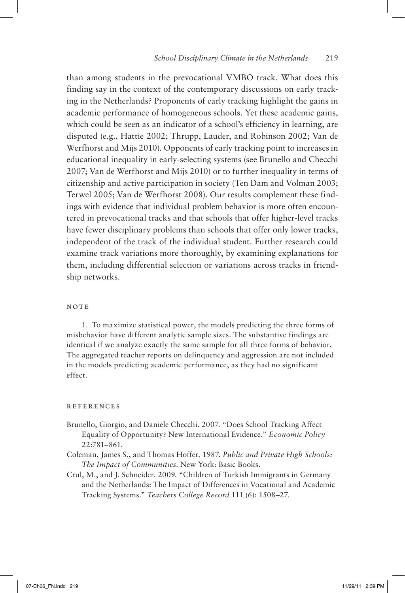than among students in the prevocational VMBO track. What does this finding say in the context of the contemporary discussions on early tracking in the Netherlands? Proponents of early tracking highlight the gains in academic performance of homogeneous schools. Yet these academic gains, which could be seen as an indicator of a school's efficiency in learning, are disputed (e.g., Hattie 2002; Thrupp, Lauder, and Robinson 2002; Van de Werfhorst and Mijs 2010). Opponents of early tracking point to increases in educational inequality in early-selecting systems (see Brunello and Checchi 2007; Van de Werfhorst and Mijs 2010) or to further inequality in terms of citizenship and active participation in society (Ten Dam and Volman 2003; Terwel 2005; Van de Werfhorst 2008). Our results complement these findings with evidence that individual problem behavior is more often encountered in prevocational tracks and that schools that offer higher-level tracks have fewer disciplinary problems than schools that offer only lower tracks, independent of the track of the individual student. Further research could examine track variations more thoroughly, by examining explanations for them, including differential selection or variations across tracks in friendship networks.

#### **NOTE**

1. To maximize statistical power, the models predicting the three forms of misbehavior have different analytic sample sizes. The substantive findings are identical if we analyze exactly the same sample for all three forms of behavior. The aggregated teacher reports on delinquency and aggression are not included in the models predicting academic performance, as they had no significant effect.

#### r efer ences

- Brunello, Giorgio, and Daniele Checchi. 2007. "Does School Tracking Affect Equality of Opportunity? New International Evidence." *Economic Policy* 22:781–861.
- Coleman, James S., and Thomas Hoffer. 1987. *Public and Private High Schools: The Impact of Communities*. New York: Basic Books.
- Crul, M., and J. Schneider. 2009. "Children of Turkish Immigrants in Germany and the Netherlands: The Impact of Differences in Vocational and Academic Tracking Systems." *Teachers College Record* 111 (6): 1508–27.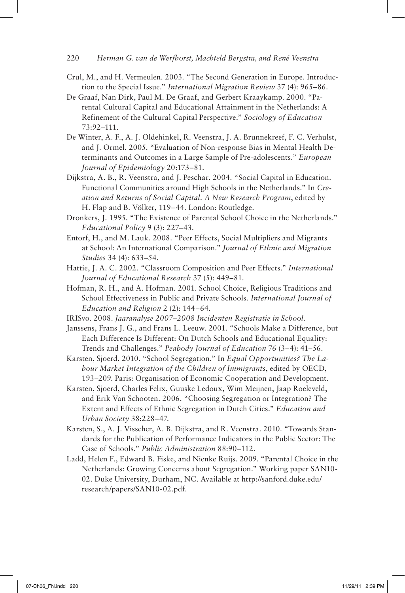- Crul, M., and H. Vermeulen. 2003. "The Second Generation in Europe. Introduction to the Special Issue." *International Migration Review* 37 (4): 965–86.
- De Graaf, Nan Dirk, Paul M. De Graaf, and Gerbert Kraaykamp. 2000. "Parental Cultural Capital and Educational Attainment in the Netherlands: A Refinement of the Cultural Capital Perspective." *Sociology of Education* 73:92–111.
- De Winter, A. F., A. J. Oldehinkel, R. Veenstra, J. A. Brunnekreef, F. C. Verhulst, and J. Ormel. 2005. "Evaluation of Non-response Bias in Mental Health Determinants and Outcomes in a Large Sample of Pre-adolescents." *European Journal of Epidemiology* 20:173–81.
- Dijkstra, A. B., R. Veenstra, and J. Peschar. 2004. "Social Capital in Education. Functional Communities around High Schools in the Netherlands." In *Creation and Returns of Social Capital. A New Research Program*, edited by H. Flap and B. Völker, 119–44. London: Routledge.
- Dronkers, J. 1995. "The Existence of Parental School Choice in the Netherlands." *Educational Policy* 9 (3): 227–43.
- Entorf, H., and M. Lauk. 2008. "Peer Effects, Social Multipliers and Migrants at School: An International Comparison." *Journal of Ethnic and Migration Studies* 34 (4): 633–54.
- Hattie, J. A. C. 2002. "Classroom Composition and Peer Effects." *International Journal of Educational Research* 37 (5): 449–81.
- Hofman, R. H., and A. Hofman. 2001. School Choice, Religious Traditions and School Effectiveness in Public and Private Schools*. International Journal of Education and Religion* 2 (2): 144–64.
- IRISvo. 2008. *Jaaranalyse 2007–2008 Incidenten Registratie in School.*
- Janssens, Frans J. G., and Frans L. Leeuw. 2001. "Schools Make a Difference, but Each Difference Is Different: On Dutch Schools and Educational Equality: Trends and Challenges." *Peabody Journal of Education* 76 (3–4): 41–56.
- Karsten, Sjoerd. 2010. "School Segregation." In *Equal Opportunities? The Labour Market Integration of the Children of Immigrants*, edited by OECD, 193–209. Paris: Organisation of Economic Cooperation and Development.
- Karsten, Sjoerd, Charles Felix, Guuske Ledoux, Wim Meijnen, Jaap Roeleveld, and Erik Van Schooten. 2006. "Choosing Segregation or Integration? The Extent and Effects of Ethnic Segregation in Dutch Cities." *Education and Urban Society* 38:228–47.
- Karsten, S., A. J. Visscher, A. B. Dijkstra, and R. Veenstra. 2010. "Towards Standards for the Publication of Performance Indicators in the Public Sector: The Case of Schools." *Public Administration* 88:90–112.
- Ladd, Helen F., Edward B. Fiske, and Nienke Ruijs. 2009. "Parental Choice in the Netherlands: Growing Concerns about Segregation." Working paper SAN10- 02. Duke University, Durham, NC. Available at http://sanford.duke.edu/ research/papers/SAN10-02.pdf.